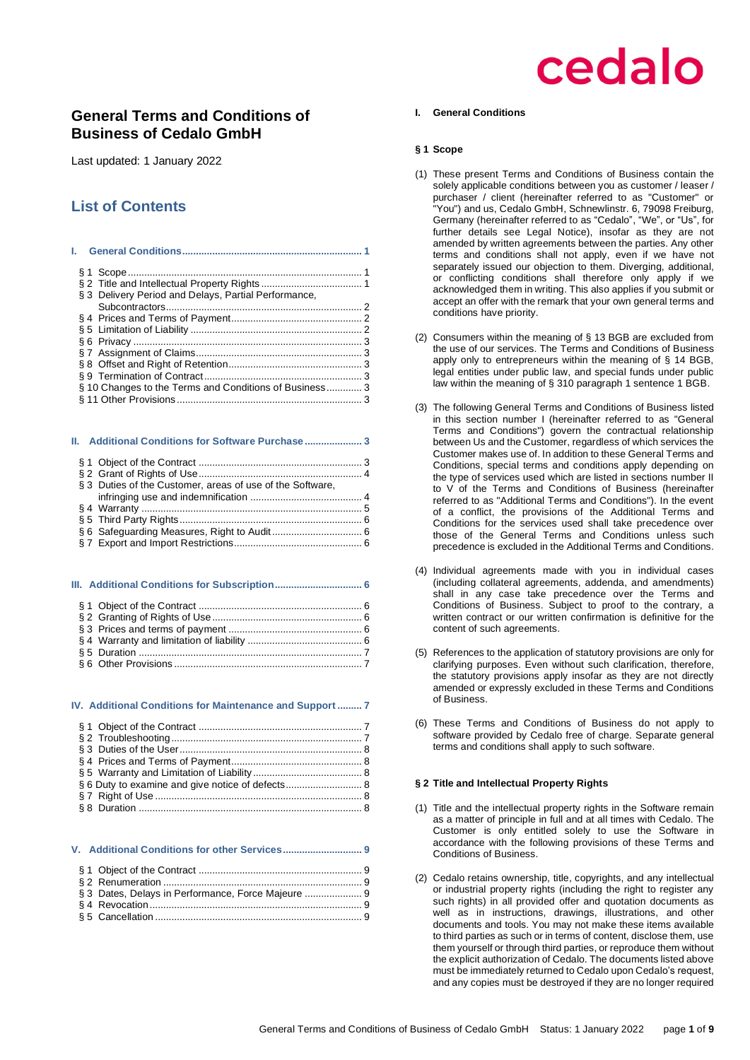## **General Terms and Conditions of Business of Cedalo GmbH**

Last updated: 1 January 2022

## **List of Contents**

|  | § 3 Delivery Period and Delays, Partial Performance,   |  |
|--|--------------------------------------------------------|--|
|  |                                                        |  |
|  |                                                        |  |
|  |                                                        |  |
|  |                                                        |  |
|  |                                                        |  |
|  |                                                        |  |
|  |                                                        |  |
|  | § 10 Changes to the Terms and Conditions of Business 3 |  |
|  |                                                        |  |
|  |                                                        |  |

#### **II. [Additional Conditions for Software Purchase](#page-2-6) ..................... 3**

| § 3 Duties of the Customer, areas of use of the Software, |  |
|-----------------------------------------------------------|--|
|                                                           |  |
|                                                           |  |
|                                                           |  |
|                                                           |  |
|                                                           |  |

### **III. [Additional Conditions for Subscription................................](#page-5-3) 6** § 1 Object of the Contract [............................................................](#page-5-4) 6 § 2 [Granting of Rights of Use.......................................................](#page-5-5) 6 § 3 Prices and terms of payment [.................................................](#page-5-6) 6

#### **IV. [Additional Conditions for Maintenance and Support](#page-6-2) ......... 7**

| § 6 Duty to examine and give notice of defects 8 |  |
|--------------------------------------------------|--|
|                                                  |  |
|                                                  |  |

#### **V. [Additional Conditions for other Services.............................](#page-8-0) 9**

| § 3 Dates, Delays in Performance, Force Majeure  9 |  |
|----------------------------------------------------|--|
|                                                    |  |
|                                                    |  |

#### <span id="page-0-0"></span>**I. General Conditions**

#### <span id="page-0-1"></span>**§ 1 Scope**

- (1) These present Terms and Conditions of Business contain the solely applicable conditions between you as customer / leaser / purchaser / client (hereinafter referred to as "Customer" or .<br>"You") and us, Cedalo GmbH, Schnewlinstr. 6, 79098 Freiburg, Germany (hereinafter referred to as "Cedalo", "We", or "Us", for further details see Legal Notice), insofar as they are not amended by written agreements between the parties. Any other terms and conditions shall not apply, even if we have not separately issued our objection to them. Diverging, additional, or conflicting conditions shall therefore only apply if we acknowledged them in writing. This also applies if you submit or accept an offer with the remark that your own general terms and conditions have priority.
- (2) Consumers within the meaning of § 13 BGB are excluded from the use of our services. The Terms and Conditions of Business apply only to entrepreneurs within the meaning of § 14 BGB, legal entities under public law, and special funds under public law within the meaning of § 310 paragraph 1 sentence 1 BGB.
- (3) The following General Terms and Conditions of Business listed in this section number I (hereinafter referred to as "General Terms and Conditions") govern the contractual relationship between Us and the Customer, regardless of which services the Customer makes use of. In addition to these General Terms and Conditions, special terms and conditions apply depending on the type of services used which are listed in sections number II to V of the Terms and Conditions of Business (hereinafter referred to as "Additional Terms and Conditions"). In the event of a conflict, the provisions of the Additional Terms and Conditions for the services used shall take precedence over those of the General Terms and Conditions unless such precedence is excluded in the Additional Terms and Conditions.
- (4) Individual agreements made with you in individual cases (including collateral agreements, addenda, and amendments) shall in any case take precedence over the Terms and Conditions of Business. Subject to proof to the contrary, a written contract or our written confirmation is definitive for the content of such agreements.
- (5) References to the application of statutory provisions are only for clarifying purposes. Even without such clarification, therefore, the statutory provisions apply insofar as they are not directly amended or expressly excluded in these Terms and Conditions of Business.
- (6) These Terms and Conditions of Business do not apply to software provided by Cedalo free of charge. Separate general terms and conditions shall apply to such software.

### <span id="page-0-2"></span>**§ 2 Title and Intellectual Property Rights**

- (1) Title and the intellectual property rights in the Software remain as a matter of principle in full and at all times with Cedalo. The Customer is only entitled solely to use the Software in accordance with the following provisions of these Terms and Conditions of Business.
- (2) Cedalo retains ownership, title, copyrights, and any intellectual or industrial property rights (including the right to register any such rights) in all provided offer and quotation documents as well as in instructions, drawings, illustrations, and other documents and tools. You may not make these items available to third parties as such or in terms of content, disclose them, use them yourself or through third parties, or reproduce them without the explicit authorization of Cedalo. The documents listed above must be immediately returned to Cedalo upon Cedalo's request, and any copies must be destroyed if they are no longer required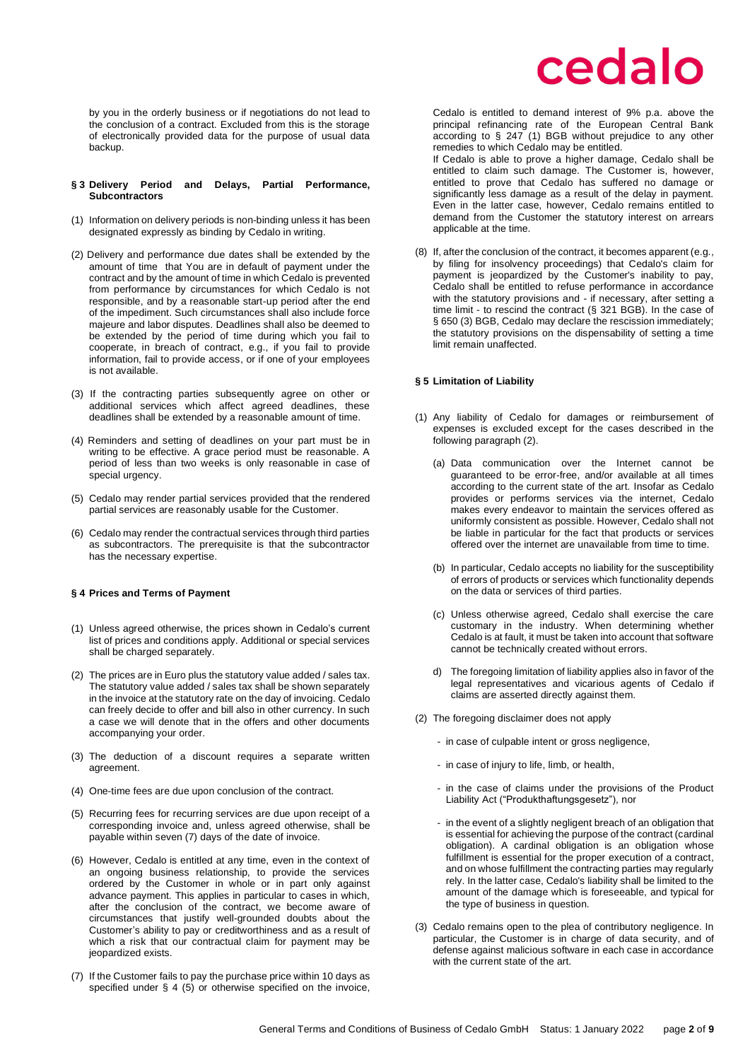by you in the orderly business or if negotiations do not lead to the conclusion of a contract. Excluded from this is the storage of electronically provided data for the purpose of usual data backup.

#### <span id="page-1-0"></span>**§ 3 Delivery Period and Delays, Partial Performance, Subcontractors**

- (1) Information on delivery periods is non-binding unless it has been designated expressly as binding by Cedalo in writing.
- (2) Delivery and performance due dates shall be extended by the amount of time that You are in default of payment under the contract and by the amount of time in which Cedalo is prevented from performance by circumstances for which Cedalo is not responsible, and by a reasonable start-up period after the end of the impediment. Such circumstances shall also include force majeure and labor disputes. Deadlines shall also be deemed to be extended by the period of time during which you fail to cooperate, in breach of contract, e.g., if you fail to provide information, fail to provide access, or if one of your employees is not available.
- (3) If the contracting parties subsequently agree on other or additional services which affect agreed deadlines, these deadlines shall be extended by a reasonable amount of time.
- (4) Reminders and setting of deadlines on your part must be in writing to be effective. A grace period must be reasonable. A period of less than two weeks is only reasonable in case of special urgency.
- (5) Cedalo may render partial services provided that the rendered partial services are reasonably usable for the Customer.
- (6) Cedalo may render the contractual services through third parties as subcontractors. The prerequisite is that the subcontractor has the necessary expertise.

#### <span id="page-1-1"></span>**§ 4 Prices and Terms of Payment**

- (1) Unless agreed otherwise, the prices shown in Cedalo's current list of prices and conditions apply. Additional or special services shall be charged separately.
- (2) The prices are in Euro plus the statutory value added / sales tax. The statutory value added / sales tax shall be shown separately in the invoice at the statutory rate on the day of invoicing. Cedalo can freely decide to offer and bill also in other currency. In such a case we will denote that in the offers and other documents accompanying your order.
- (3) The deduction of a discount requires a separate written agreement
- (4) One-time fees are due upon conclusion of the contract.
- (5) Recurring fees for recurring services are due upon receipt of a corresponding invoice and, unless agreed otherwise, shall be payable within seven (7) days of the date of invoice.
- (6) However, Cedalo is entitled at any time, even in the context of an ongoing business relationship, to provide the services ordered by the Customer in whole or in part only against advance payment. This applies in particular to cases in which, after the conclusion of the contract, we become aware of circumstances that justify well-grounded doubts about the Customer's ability to pay or creditworthiness and as a result of which a risk that our contractual claim for payment may be jeopardized exists.
- (7) If the Customer fails to pay the purchase price within 10 days as specified under § 4 (5) or otherwise specified on the invoice,

## cedalo

Cedalo is entitled to demand interest of 9% p.a. above the principal refinancing rate of the European Central Bank according to § 247 (1) BGB without prejudice to any other remedies to which Cedalo may be entitled.

If Cedalo is able to prove a higher damage, Cedalo shall be entitled to claim such damage. The Customer is, however, entitled to prove that Cedalo has suffered no damage or significantly less damage as a result of the delay in payment. Even in the latter case, however, Cedalo remains entitled to demand from the Customer the statutory interest on arrears applicable at the time.

(8) If, after the conclusion of the contract, it becomes apparent (e.g., by filing for insolvency proceedings) that Cedalo's claim for payment is jeopardized by the Customer's inability to pay, Cedalo shall be entitled to refuse performance in accordance with the statutory provisions and - if necessary, after setting a time limit - to rescind the contract (§ 321 BGB). In the case of § 650 (3) BGB, Cedalo may declare the rescission immediately; the statutory provisions on the dispensability of setting a time limit remain unaffected.

#### <span id="page-1-2"></span>**§ 5 Limitation of Liability**

- (1) Any liability of Cedalo for damages or reimbursement of expenses is excluded except for the cases described in the following paragraph (2).
	- (a) Data communication over the Internet cannot be guaranteed to be error-free, and/or available at all times according to the current state of the art. Insofar as Cedalo provides or performs services via the internet, Cedalo makes every endeavor to maintain the services offered as uniformly consistent as possible. However, Cedalo shall not be liable in particular for the fact that products or services offered over the internet are unavailable from time to time.
	- (b) In particular, Cedalo accepts no liability for the susceptibility of errors of products or services which functionality depends on the data or services of third parties.
	- (c) Unless otherwise agreed, Cedalo shall exercise the care customary in the industry. When determining whether Cedalo is at fault, it must be taken into account that software cannot be technically created without errors.
	- d) The foregoing limitation of liability applies also in favor of the legal representatives and vicarious agents of Cedalo if claims are asserted directly against them.
- (2) The foregoing disclaimer does not apply
	- in case of culpable intent or gross negligence,
	- in case of injury to life, limb, or health,
	- in the case of claims under the provisions of the Product Liability Act ("Produkthaftungsgesetz"), nor
	- in the event of a slightly negligent breach of an obligation that is essential for achieving the purpose of the contract (cardinal obligation). A cardinal obligation is an obligation whose fulfillment is essential for the proper execution of a contract, and on whose fulfillment the contracting parties may regularly rely. In the latter case, Cedalo's liability shall be limited to the amount of the damage which is foreseeable, and typical for the type of business in question.
- (3) Cedalo remains open to the plea of contributory negligence. In particular, the Customer is in charge of data security, and of defense against malicious software in each case in accordance with the current state of the art.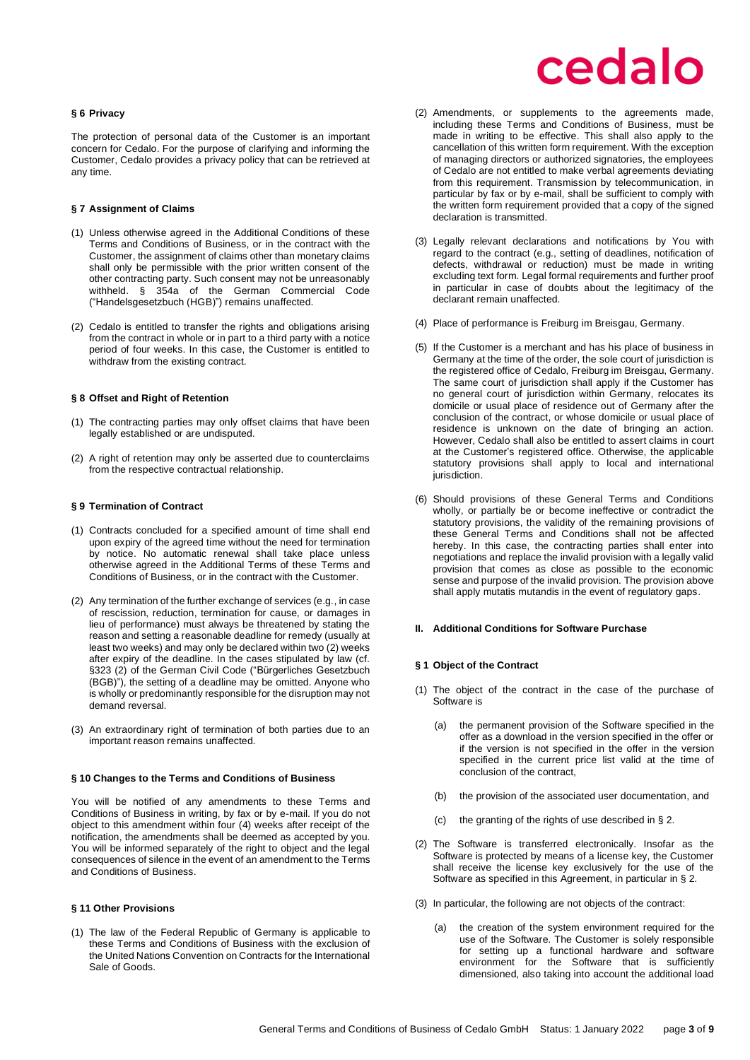#### <span id="page-2-0"></span>**§ 6 Privacy**

The protection of personal data of the Customer is an important concern for Cedalo. For the purpose of clarifying and informing the Customer, Cedalo provides a privacy policy that can be retrieved at any time.

#### <span id="page-2-1"></span>**§ 7 Assignment of Claims**

- (1) Unless otherwise agreed in the Additional Conditions of these Terms and Conditions of Business, or in the contract with the Customer, the assignment of claims other than monetary claims shall only be permissible with the prior written consent of the other contracting party. Such consent may not be unreasonably withheld. § 354a of the German Commercial Code ("Handelsgesetzbuch (HGB)") remains unaffected.
- (2) Cedalo is entitled to transfer the rights and obligations arising from the contract in whole or in part to a third party with a notice period of four weeks. In this case, the Customer is entitled to withdraw from the existing contract.

#### <span id="page-2-2"></span>**§ 8 Offset and Right of Retention**

- (1) The contracting parties may only offset claims that have been legally established or are undisputed.
- (2) A right of retention may only be asserted due to counterclaims from the respective contractual relationship.

#### <span id="page-2-3"></span>**§ 9 Termination of Contract**

- (1) Contracts concluded for a specified amount of time shall end upon expiry of the agreed time without the need for termination by notice. No automatic renewal shall take place unless otherwise agreed in the Additional Terms of these Terms and Conditions of Business, or in the contract with the Customer.
- (2) Any termination of the further exchange of services (e.g., in case of rescission, reduction, termination for cause, or damages in lieu of performance) must always be threatened by stating the reason and setting a reasonable deadline for remedy (usually at least two weeks) and may only be declared within two (2) weeks after expiry of the deadline. In the cases stipulated by law (cf. §323 (2) of the German Civil Code ("Bürgerliches Gesetzbuch (BGB)"), the setting of a deadline may be omitted. Anyone who is wholly or predominantly responsible for the disruption may not demand reversal.
- (3) An extraordinary right of termination of both parties due to an important reason remains unaffected.

#### <span id="page-2-4"></span>**§ 10 Changes to the Terms and Conditions of Business**

You will be notified of any amendments to these Terms and Conditions of Business in writing, by fax or by e-mail. If you do not object to this amendment within four (4) weeks after receipt of the notification, the amendments shall be deemed as accepted by you. You will be informed separately of the right to object and the legal consequences of silence in the event of an amendment to the Terms and Conditions of Business.

#### <span id="page-2-5"></span>**§ 11 Other Provisions**

(1) The law of the Federal Republic of Germany is applicable to these Terms and Conditions of Business with the exclusion of the United Nations Convention on Contracts for the International Sale of Goods.

## cedalo

- (2) Amendments, or supplements to the agreements made, including these Terms and Conditions of Business, must be made in writing to be effective. This shall also apply to the cancellation of this written form requirement. With the exception of managing directors or authorized signatories, the employees of Cedalo are not entitled to make verbal agreements deviating from this requirement. Transmission by telecommunication, in particular by fax or by e-mail, shall be sufficient to comply with the written form requirement provided that a copy of the signed declaration is transmitted.
- (3) Legally relevant declarations and notifications by You with regard to the contract (e.g., setting of deadlines, notification of defects, withdrawal or reduction) must be made in writing excluding text form. Legal formal requirements and further proof in particular in case of doubts about the legitimacy of the declarant remain unaffected.
- (4) Place of performance is Freiburg im Breisgau, Germany.
- (5) If the Customer is a merchant and has his place of business in Germany at the time of the order, the sole court of jurisdiction is the registered office of Cedalo, Freiburg im Breisgau, Germany. The same court of jurisdiction shall apply if the Customer has no general court of jurisdiction within Germany, relocates its domicile or usual place of residence out of Germany after the conclusion of the contract, or whose domicile or usual place of residence is unknown on the date of bringing an action. However, Cedalo shall also be entitled to assert claims in court at the Customer's registered office. Otherwise, the applicable statutory provisions shall apply to local and international jurisdiction.
- (6) Should provisions of these General Terms and Conditions wholly, or partially be or become ineffective or contradict the statutory provisions, the validity of the remaining provisions of these General Terms and Conditions shall not be affected hereby. In this case, the contracting parties shall enter into negotiations and replace the invalid provision with a legally valid provision that comes as close as possible to the economic sense and purpose of the invalid provision. The provision above shall apply mutatis mutandis in the event of regulatory gaps.

#### <span id="page-2-6"></span>**II. Additional Conditions for Software Purchase**

#### <span id="page-2-7"></span>**§ 1 Object of the Contract**

- (1) The object of the contract in the case of the purchase of Software is
	- (a) the permanent provision of the Software specified in the offer as a download in the version specified in the offer or if the version is not specified in the offer in the version specified in the current price list valid at the time of conclusion of the contract,
	- (b) the provision of the associated user documentation, and
	- (c) the granting of the rights of use described in § 2.
- (2) The Software is transferred electronically. Insofar as the Software is protected by means of a license key, the Customer shall receive the license key exclusively for the use of the Software as specified in this Agreement, in particular in § 2.
- (3) In particular, the following are not objects of the contract:
	- (a) the creation of the system environment required for the use of the Software. The Customer is solely responsible for setting up a functional hardware and software environment for the Software that is sufficiently dimensioned, also taking into account the additional load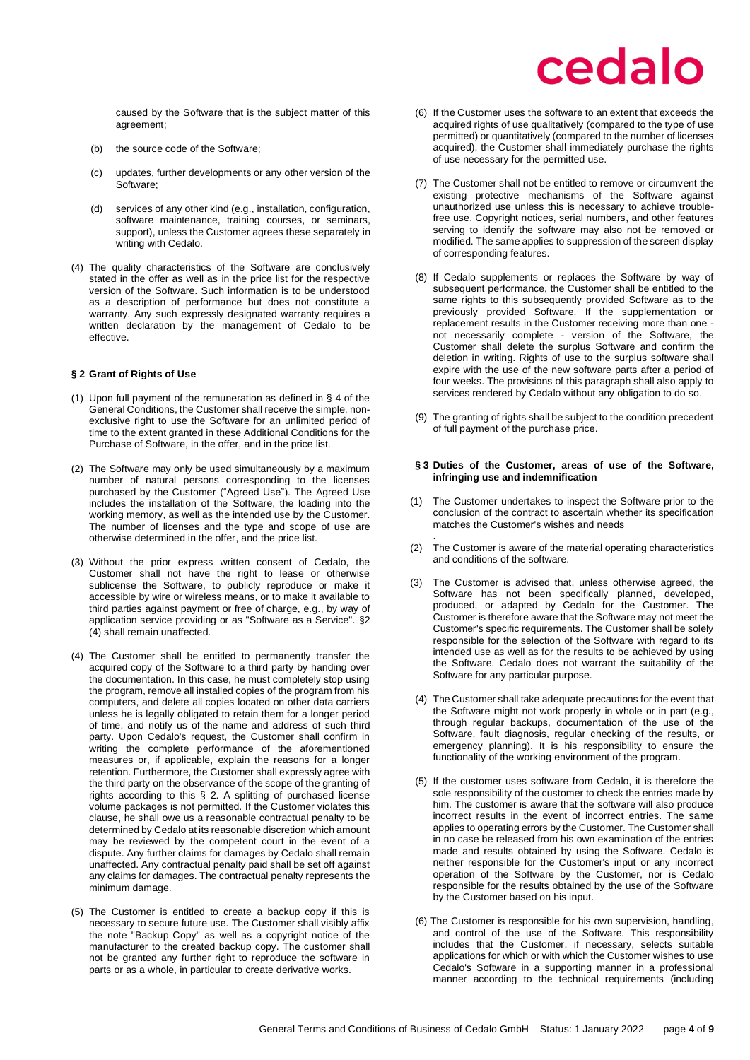caused by the Software that is the subject matter of this agreement;

- (b) the source code of the Software;
- (c) updates, further developments or any other version of the Software;
- (d) services of any other kind (e.g., installation, configuration, software maintenance, training courses, or seminars, support), unless the Customer agrees these separately in writing with Cedalo.
- (4) The quality characteristics of the Software are conclusively stated in the offer as well as in the price list for the respective version of the Software. Such information is to be understood as a description of performance but does not constitute a warranty. Any such expressly designated warranty requires a written declaration by the management of Cedalo to be effective.

## <span id="page-3-0"></span>**§ 2 Grant of Rights of Use**

- (1) Upon full payment of the remuneration as defined in § 4 of the General Conditions, the Customer shall receive the simple, nonexclusive right to use the Software for an unlimited period of time to the extent granted in these Additional Conditions for the Purchase of Software, in the offer, and in the price list.
- (2) The Software may only be used simultaneously by a maximum number of natural persons corresponding to the licenses purchased by the Customer ("Agreed Use"). The Agreed Use includes the installation of the Software, the loading into the working memory, as well as the intended use by the Customer. The number of licenses and the type and scope of use are otherwise determined in the offer, and the price list.
- (3) Without the prior express written consent of Cedalo, the Customer shall not have the right to lease or otherwise sublicense the Software, to publicly reproduce or make it accessible by wire or wireless means, or to make it available to third parties against payment or free of charge, e.g., by way of application service providing or as "Software as a Service". §2 (4) shall remain unaffected.
- (4) The Customer shall be entitled to permanently transfer the acquired copy of the Software to a third party by handing over the documentation. In this case, he must completely stop using the program, remove all installed copies of the program from his computers, and delete all copies located on other data carriers unless he is legally obligated to retain them for a longer period of time, and notify us of the name and address of such third party. Upon Cedalo's request, the Customer shall confirm in writing the complete performance of the aforementioned measures or, if applicable, explain the reasons for a longer retention. Furthermore, the Customer shall expressly agree with the third party on the observance of the scope of the granting of rights according to this § 2. A splitting of purchased license volume packages is not permitted. If the Customer violates this clause, he shall owe us a reasonable contractual penalty to be determined by Cedalo at its reasonable discretion which amount may be reviewed by the competent court in the event of a dispute. Any further claims for damages by Cedalo shall remain unaffected. Any contractual penalty paid shall be set off against any claims for damages. The contractual penalty represents the minimum damage.
- (5) The Customer is entitled to create a backup copy if this is necessary to secure future use. The Customer shall visibly affix the note "Backup Copy" as well as a copyright notice of the manufacturer to the created backup copy. The customer shall not be granted any further right to reproduce the software in parts or as a whole, in particular to create derivative works.
- (6) If the Customer uses the software to an extent that exceeds the acquired rights of use qualitatively (compared to the type of use permitted) or quantitatively (compared to the number of licenses acquired), the Customer shall immediately purchase the rights of use necessary for the permitted use.
- (7) The Customer shall not be entitled to remove or circumvent the existing protective mechanisms of the Software against unauthorized use unless this is necessary to achieve troublefree use. Copyright notices, serial numbers, and other features serving to identify the software may also not be removed or modified. The same applies to suppression of the screen display of corresponding features.
- (8) If Cedalo supplements or replaces the Software by way of subsequent performance, the Customer shall be entitled to the same rights to this subsequently provided Software as to the previously provided Software. If the supplementation or replacement results in the Customer receiving more than one not necessarily complete - version of the Software, the Customer shall delete the surplus Software and confirm the deletion in writing. Rights of use to the surplus software shall expire with the use of the new software parts after a period of four weeks. The provisions of this paragraph shall also apply to services rendered by Cedalo without any obligation to do so.
- (9) The granting of rights shall be subject to the condition precedent of full payment of the purchase price.

#### <span id="page-3-1"></span>**§ 3 Duties of the Customer, areas of use of the Software, infringing use and indemnification**

- (1) The Customer undertakes to inspect the Software prior to the conclusion of the contract to ascertain whether its specification matches the Customer's wishes and needs
- . (2) The Customer is aware of the material operating characteristics and conditions of the software.
- (3) The Customer is advised that, unless otherwise agreed, the Software has not been specifically planned, developed, produced, or adapted by Cedalo for the Customer. The Customer is therefore aware that the Software may not meet the Customer's specific requirements. The Customer shall be solely responsible for the selection of the Software with regard to its intended use as well as for the results to be achieved by using the Software. Cedalo does not warrant the suitability of the Software for any particular purpose.
- (4) The Customer shall take adequate precautions for the event that the Software might not work properly in whole or in part (e.g., through regular backups, documentation of the use of the Software, fault diagnosis, regular checking of the results, or emergency planning). It is his responsibility to ensure the functionality of the working environment of the program.
- (5) If the customer uses software from Cedalo, it is therefore the sole responsibility of the customer to check the entries made by him. The customer is aware that the software will also produce incorrect results in the event of incorrect entries. The same applies to operating errors by the Customer. The Customer shall in no case be released from his own examination of the entries made and results obtained by using the Software. Cedalo is neither responsible for the Customer's input or any incorrect operation of the Software by the Customer, nor is Cedalo responsible for the results obtained by the use of the Software by the Customer based on his input.
- (6) The Customer is responsible for his own supervision, handling, and control of the use of the Software. This responsibility includes that the Customer, if necessary, selects suitable applications for which or with which the Customer wishes to use Cedalo's Software in a supporting manner in a professional manner according to the technical requirements (including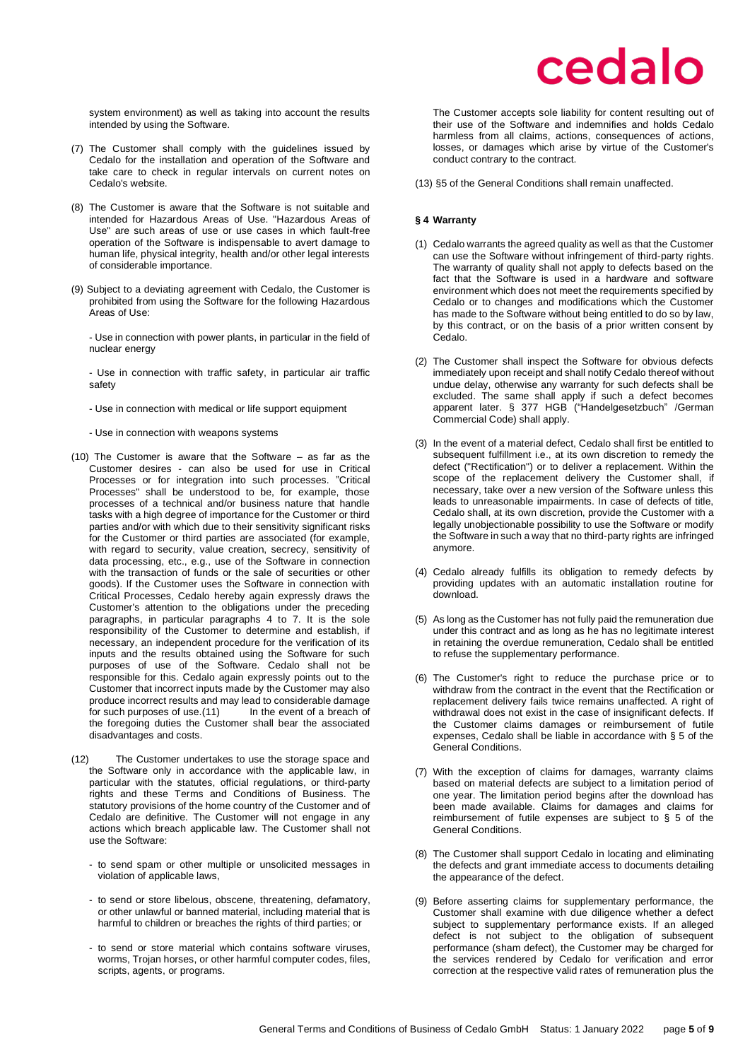system environment) as well as taking into account the results intended by using the Software.

- (7) The Customer shall comply with the guidelines issued by Cedalo for the installation and operation of the Software and take care to check in regular intervals on current notes on Cedalo's website.
- (8) The Customer is aware that the Software is not suitable and intended for Hazardous Areas of Use. "Hazardous Areas of Use" are such areas of use or use cases in which fault-free operation of the Software is indispensable to avert damage to human life, physical integrity, health and/or other legal interests of considerable importance.
- (9) Subject to a deviating agreement with Cedalo, the Customer is prohibited from using the Software for the following Hazardous Areas of Use:

- Use in connection with power plants, in particular in the field of nuclear energy

- Use in connection with traffic safety, in particular air traffic safety
- Use in connection with medical or life support equipment
- Use in connection with weapons systems
- (10) The Customer is aware that the Software as far as the Customer desires - can also be used for use in Critical Processes or for integration into such processes. "Critical Processes" shall be understood to be, for example, those processes of a technical and/or business nature that handle tasks with a high degree of importance for the Customer or third parties and/or with which due to their sensitivity significant risks for the Customer or third parties are associated (for example, with regard to security, value creation, secrecy, sensitivity of data processing, etc., e.g., use of the Software in connection with the transaction of funds or the sale of securities or other goods). If the Customer uses the Software in connection with Critical Processes, Cedalo hereby again expressly draws the Customer's attention to the obligations under the preceding paragraphs, in particular paragraphs 4 to 7. It is the sole responsibility of the Customer to determine and establish, if necessary, an independent procedure for the verification of its inputs and the results obtained using the Software for such purposes of use of the Software. Cedalo shall not be responsible for this. Cedalo again expressly points out to the Customer that incorrect inputs made by the Customer may also produce incorrect results and may lead to considerable damage for such purposes of use.(11) In the event of a breach of the foregoing duties the Customer shall bear the associated disadvantages and costs.
- (12) The Customer undertakes to use the storage space and the Software only in accordance with the applicable law, in particular with the statutes, official regulations, or third-party rights and these Terms and Conditions of Business. The statutory provisions of the home country of the Customer and of Cedalo are definitive. The Customer will not engage in any actions which breach applicable law. The Customer shall not use the Software:
	- to send spam or other multiple or unsolicited messages in violation of applicable laws,
	- to send or store libelous, obscene, threatening, defamatory, or other unlawful or banned material, including material that is harmful to children or breaches the rights of third parties; or
	- to send or store material which contains software viruses, worms. Trojan horses, or other harmful computer codes, files, scripts, agents, or programs.

The Customer accepts sole liability for content resulting out of their use of the Software and indemnifies and holds Cedalo harmless from all claims, actions, consequences of actions, losses, or damages which arise by virtue of the Customer's conduct contrary to the contract.

(13) §5 of the General Conditions shall remain unaffected.

#### <span id="page-4-0"></span>**§ 4 Warranty**

- (1) Cedalo warrants the agreed quality as well as that the Customer can use the Software without infringement of third-party rights. The warranty of quality shall not apply to defects based on the fact that the Software is used in a hardware and software environment which does not meet the requirements specified by Cedalo or to changes and modifications which the Customer has made to the Software without being entitled to do so by law, by this contract, or on the basis of a prior written consent by Cedalo.
- (2) The Customer shall inspect the Software for obvious defects immediately upon receipt and shall notify Cedalo thereof without undue delay, otherwise any warranty for such defects shall be excluded. The same shall apply if such a defect becomes apparent later. § 377 HGB ("Handelgesetzbuch" /German Commercial Code) shall apply.
- (3) In the event of a material defect, Cedalo shall first be entitled to subsequent fulfillment i.e., at its own discretion to remedy the defect ("Rectification") or to deliver a replacement. Within the scope of the replacement delivery the Customer shall, if necessary, take over a new version of the Software unless this leads to unreasonable impairments. In case of defects of title, Cedalo shall, at its own discretion, provide the Customer with a legally unobjectionable possibility to use the Software or modify the Software in such a way that no third-party rights are infringed anymore.
- (4) Cedalo already fulfills its obligation to remedy defects by providing updates with an automatic installation routine for download.
- (5) As long as the Customer has not fully paid the remuneration due under this contract and as long as he has no legitimate interest in retaining the overdue remuneration, Cedalo shall be entitled to refuse the supplementary performance.
- (6) The Customer's right to reduce the purchase price or to withdraw from the contract in the event that the Rectification or replacement delivery fails twice remains unaffected. A right of withdrawal does not exist in the case of insignificant defects. If the Customer claims damages or reimbursement of futile expenses, Cedalo shall be liable in accordance with § 5 of the General Conditions.
- (7) With the exception of claims for damages, warranty claims based on material defects are subject to a limitation period of one year. The limitation period begins after the download has been made available. Claims for damages and claims for reimbursement of futile expenses are subject to § 5 of the General Conditions.
- (8) The Customer shall support Cedalo in locating and eliminating the defects and grant immediate access to documents detailing the appearance of the defect.
- (9) Before asserting claims for supplementary performance, the Customer shall examine with due diligence whether a defect subject to supplementary performance exists. If an alleged defect is not subject to the obligation of subsequent performance (sham defect), the Customer may be charged for the services rendered by Cedalo for verification and error correction at the respective valid rates of remuneration plus the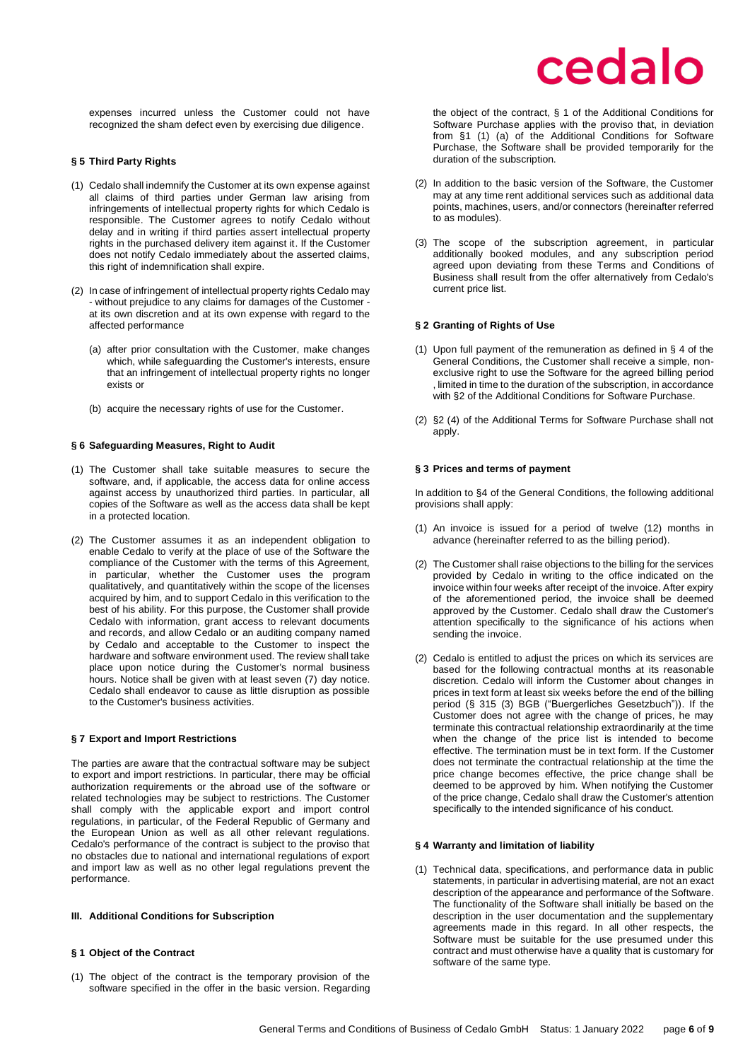expenses incurred unless the Customer could not have recognized the sham defect even by exercising due diligence.

## <span id="page-5-0"></span>**§ 5 Third Party Rights**

- (1) Cedalo shall indemnify the Customer at its own expense against all claims of third parties under German law arising from infringements of intellectual property rights for which Cedalo is responsible. The Customer agrees to notify Cedalo without delay and in writing if third parties assert intellectual property rights in the purchased delivery item against it. If the Customer does not notify Cedalo immediately about the asserted claims, this right of indemnification shall expire.
- (2) In case of infringement of intellectual property rights Cedalo may - without prejudice to any claims for damages of the Customer at its own discretion and at its own expense with regard to the affected performance
	- (a) after prior consultation with the Customer, make changes which, while safeguarding the Customer's interests, ensure that an infringement of intellectual property rights no longer exists or
	- (b) acquire the necessary rights of use for the Customer.

### <span id="page-5-1"></span>**§ 6 Safeguarding Measures, Right to Audit**

- (1) The Customer shall take suitable measures to secure the software, and, if applicable, the access data for online access against access by unauthorized third parties. In particular, all copies of the Software as well as the access data shall be kept in a protected location.
- (2) The Customer assumes it as an independent obligation to enable Cedalo to verify at the place of use of the Software the compliance of the Customer with the terms of this Agreement, in particular, whether the Customer uses the program qualitatively, and quantitatively within the scope of the licenses acquired by him, and to support Cedalo in this verification to the best of his ability. For this purpose, the Customer shall provide Cedalo with information, grant access to relevant documents and records, and allow Cedalo or an auditing company named by Cedalo and acceptable to the Customer to inspect the hardware and software environment used. The review shall take place upon notice during the Customer's normal business hours. Notice shall be given with at least seven (7) day notice. Cedalo shall endeavor to cause as little disruption as possible to the Customer's business activities.

### <span id="page-5-2"></span>**§ 7 Export and Import Restrictions**

The parties are aware that the contractual software may be subject to export and import restrictions. In particular, there may be official authorization requirements or the abroad use of the software or related technologies may be subject to restrictions. The Customer shall comply with the applicable export and import control regulations, in particular, of the Federal Republic of Germany and the European Union as well as all other relevant regulations. Cedalo's performance of the contract is subject to the proviso that no obstacles due to national and international regulations of export and import law as well as no other legal regulations prevent the performance.

### <span id="page-5-3"></span>**III. Additional Conditions for Subscription**

## <span id="page-5-4"></span>**§ 1 Object of the Contract**

(1) The object of the contract is the temporary provision of the software specified in the offer in the basic version. Regarding the object of the contract, § 1 of the Additional Conditions for Software Purchase applies with the proviso that, in deviation from §1 (1) (a) of the Additional Conditions for Software Purchase, the Software shall be provided temporarily for the duration of the subscription.

- (2) In addition to the basic version of the Software, the Customer may at any time rent additional services such as additional data points, machines, users, and/or connectors (hereinafter referred to as modules).
- (3) The scope of the subscription agreement, in particular additionally booked modules, and any subscription period agreed upon deviating from these Terms and Conditions of Business shall result from the offer alternatively from Cedalo's current price list.

## <span id="page-5-5"></span>**§ 2 Granting of Rights of Use**

- (1) Upon full payment of the remuneration as defined in § 4 of the General Conditions, the Customer shall receive a simple, nonexclusive right to use the Software for the agreed billing period , limited in time to the duration of the subscription, in accordance with §2 of the Additional Conditions for Software Purchase.
- (2) §2 (4) of the Additional Terms for Software Purchase shall not apply.

## <span id="page-5-6"></span>**§ 3 Prices and terms of payment**

In addition to §4 of the General Conditions, the following additional provisions shall apply:

- (1) An invoice is issued for a period of twelve (12) months in advance (hereinafter referred to as the billing period).
- (2) The Customer shall raise objections to the billing for the services provided by Cedalo in writing to the office indicated on the invoice within four weeks after receipt of the invoice. After expiry of the aforementioned period, the invoice shall be deemed approved by the Customer. Cedalo shall draw the Customer's attention specifically to the significance of his actions when sending the invoice.
- (2) Cedalo is entitled to adjust the prices on which its services are based for the following contractual months at its reasonable discretion. Cedalo will inform the Customer about changes in prices in text form at least six weeks before the end of the billing period (§ 315 (3) BGB ("Buergerliches Gesetzbuch")). If the Customer does not agree with the change of prices, he may terminate this contractual relationship extraordinarily at the time when the change of the price list is intended to become effective. The termination must be in text form. If the Customer does not terminate the contractual relationship at the time the price change becomes effective, the price change shall be deemed to be approved by him. When notifying the Customer of the price change, Cedalo shall draw the Customer's attention specifically to the intended significance of his conduct.

## <span id="page-5-7"></span>**§ 4 Warranty and limitation of liability**

(1) Technical data, specifications, and performance data in public statements, in particular in advertising material, are not an exact description of the appearance and performance of the Software. The functionality of the Software shall initially be based on the description in the user documentation and the supplementary agreements made in this regard. In all other respects, the Software must be suitable for the use presumed under this contract and must otherwise have a quality that is customary for software of the same type.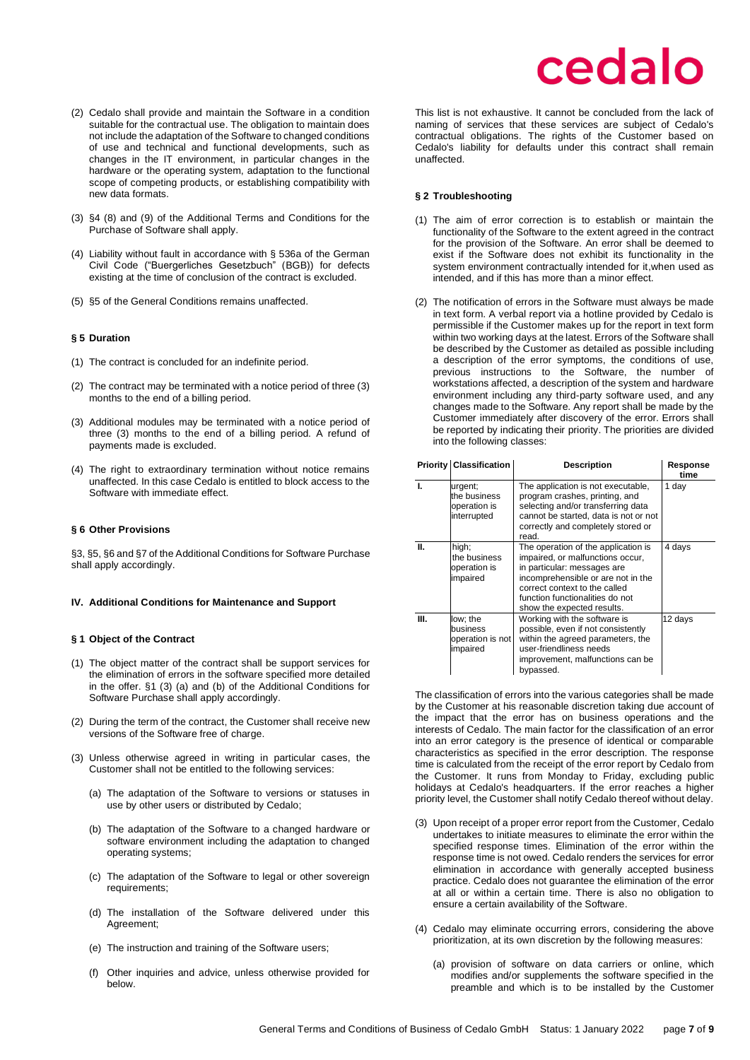- (2) Cedalo shall provide and maintain the Software in a condition suitable for the contractual use. The obligation to maintain does not include the adaptation of the Software to changed conditions of use and technical and functional developments, such as changes in the IT environment, in particular changes in the hardware or the operating system, adaptation to the functional scope of competing products, or establishing compatibility with new data formats.
- (3) §4 (8) and (9) of the Additional Terms and Conditions for the Purchase of Software shall apply.
- (4) Liability without fault in accordance with § 536a of the German Civil Code ("Buergerliches Gesetzbuch" (BGB)) for defects existing at the time of conclusion of the contract is excluded.
- (5) §5 of the General Conditions remains unaffected.

#### <span id="page-6-0"></span>**§ 5 Duration**

- (1) The contract is concluded for an indefinite period.
- (2) The contract may be terminated with a notice period of three (3) months to the end of a billing period.
- (3) Additional modules may be terminated with a notice period of three (3) months to the end of a billing period. A refund of payments made is excluded.
- (4) The right to extraordinary termination without notice remains unaffected. In this case Cedalo is entitled to block access to the Software with immediate effect.

#### <span id="page-6-1"></span>**§ 6 Other Provisions**

§3, §5, §6 and §7 of the Additional Conditions for Software Purchase shall apply accordingly.

#### <span id="page-6-2"></span>**IV. Additional Conditions for Maintenance and Support**

#### <span id="page-6-3"></span>**§ 1 Object of the Contract**

- (1) The object matter of the contract shall be support services for the elimination of errors in the software specified more detailed in the offer. §1 (3) (a) and (b) of the Additional Conditions for Software Purchase shall apply accordingly.
- (2) During the term of the contract, the Customer shall receive new versions of the Software free of charge.
- (3) Unless otherwise agreed in writing in particular cases, the Customer shall not be entitled to the following services:
	- (a) The adaptation of the Software to versions or statuses in use by other users or distributed by Cedalo;
	- (b) The adaptation of the Software to a changed hardware or software environment including the adaptation to changed operating systems;
	- (c) The adaptation of the Software to legal or other sovereign requirements;
	- (d) The installation of the Software delivered under this Agreement;
	- (e) The instruction and training of the Software users;
	- (f) Other inquiries and advice, unless otherwise provided for below.

## cedalo

This list is not exhaustive. It cannot be concluded from the lack of naming of services that these services are subject of Cedalo's contractual obligations. The rights of the Customer based on Cedalo's liability for defaults under this contract shall remain unaffected.

#### <span id="page-6-4"></span>**§ 2 Troubleshooting**

- (1) The aim of error correction is to establish or maintain the functionality of the Software to the extent agreed in the contract for the provision of the Software. An error shall be deemed to exist if the Software does not exhibit its functionality in the system environment contractually intended for it,when used as intended, and if this has more than a minor effect.
- (2) The notification of errors in the Software must always be made in text form. A verbal report via a hotline provided by Cedalo is permissible if the Customer makes up for the report in text form within two working days at the latest. Errors of the Software shall be described by the Customer as detailed as possible including a description of the error symptoms, the conditions of use, previous instructions to the Software, the number of workstations affected, a description of the system and hardware environment including any third-party software used, and any changes made to the Software. Any report shall be made by the Customer immediately after discovery of the error. Errors shall be reported by indicating their priority. The priorities are divided into the following classes:

|    | <b>Priority Classification</b>                         | <b>Description</b>                                                                                                                                                                                                                             | Response<br>time |
|----|--------------------------------------------------------|------------------------------------------------------------------------------------------------------------------------------------------------------------------------------------------------------------------------------------------------|------------------|
| Ι. | urgent;<br>the business<br>operation is<br>interrupted | The application is not executable,<br>program crashes, printing, and<br>selecting and/or transferring data<br>cannot be started, data is not or not<br>correctly and completely stored or<br>read.                                             | 1 day            |
| Ш. | high;<br>the business<br>operation is<br>impaired      | The operation of the application is<br>impaired, or malfunctions occur,<br>in particular: messages are<br>incomprehensible or are not in the<br>correct context to the called<br>function functionalities do not<br>show the expected results. | 4 days           |
| Ш. | low; the<br>business<br>operation is not<br>impaired   | Working with the software is<br>possible, even if not consistently<br>within the agreed parameters, the<br>user-friendliness needs<br>improvement, malfunctions can be<br>bypassed.                                                            | 12 days          |

The classification of errors into the various categories shall be made by the Customer at his reasonable discretion taking due account of the impact that the error has on business operations and the interests of Cedalo. The main factor for the classification of an error into an error category is the presence of identical or comparable characteristics as specified in the error description. The response time is calculated from the receipt of the error report by Cedalo from the Customer. It runs from Monday to Friday, excluding public holidays at Cedalo's headquarters. If the error reaches a higher priority level, the Customer shall notify Cedalo thereof without delay.

- (3) Upon receipt of a proper error report from the Customer, Cedalo undertakes to initiate measures to eliminate the error within the specified response times. Elimination of the error within the response time is not owed. Cedalo renders the services for error elimination in accordance with generally accepted business practice. Cedalo does not guarantee the elimination of the error at all or within a certain time. There is also no obligation to ensure a certain availability of the Software.
- (4) Cedalo may eliminate occurring errors, considering the above prioritization, at its own discretion by the following measures:
	- (a) provision of software on data carriers or online, which modifies and/or supplements the software specified in the preamble and which is to be installed by the Customer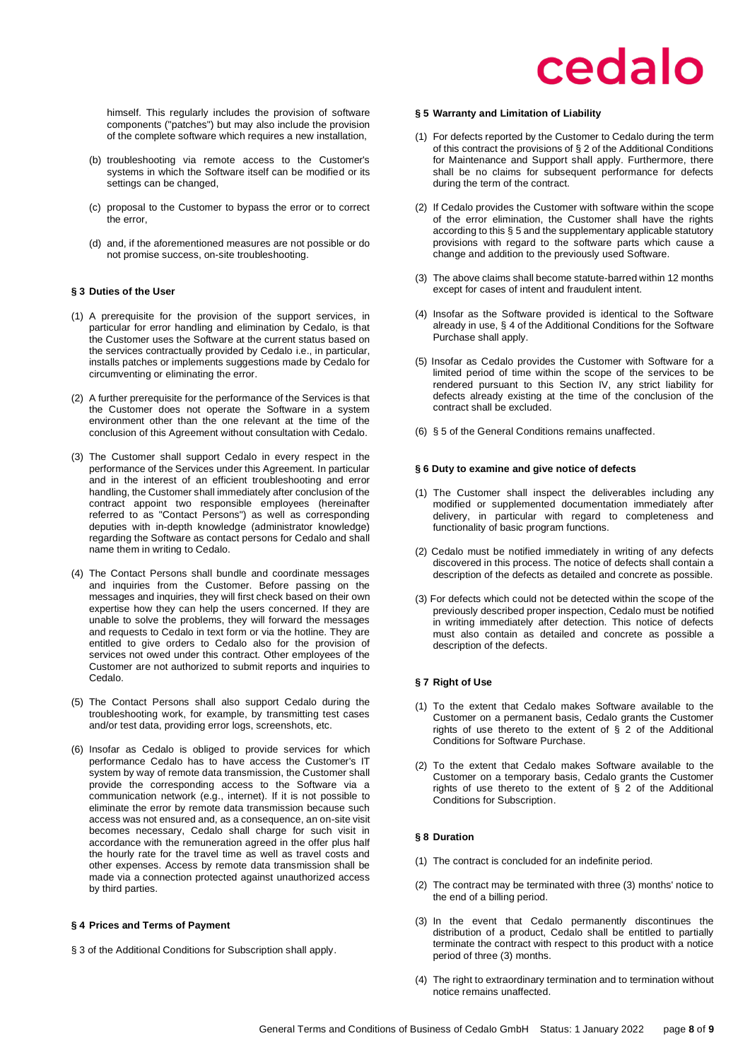himself. This regularly includes the provision of software components ("patches") but may also include the provision of the complete software which requires a new installation,

- (b) troubleshooting via remote access to the Customer's systems in which the Software itself can be modified or its settings can be changed,
- (c) proposal to the Customer to bypass the error or to correct the error,
- (d) and, if the aforementioned measures are not possible or do not promise success, on-site troubleshooting.

## <span id="page-7-0"></span>**§ 3 Duties of the User**

- (1) A prerequisite for the provision of the support services, in particular for error handling and elimination by Cedalo, is that the Customer uses the Software at the current status based on the services contractually provided by Cedalo i.e., in particular, installs patches or implements suggestions made by Cedalo for circumventing or eliminating the error.
- (2) A further prerequisite for the performance of the Services is that the Customer does not operate the Software in a system environment other than the one relevant at the time of the conclusion of this Agreement without consultation with Cedalo.
- (3) The Customer shall support Cedalo in every respect in the performance of the Services under this Agreement. In particular and in the interest of an efficient troubleshooting and error handling, the Customer shall immediately after conclusion of the contract appoint two responsible employees (hereinafter referred to as "Contact Persons") as well as corresponding deputies with in-depth knowledge (administrator knowledge) regarding the Software as contact persons for Cedalo and shall name them in writing to Cedalo.
- (4) The Contact Persons shall bundle and coordinate messages and inquiries from the Customer. Before passing on the messages and inquiries, they will first check based on their own expertise how they can help the users concerned. If they are unable to solve the problems, they will forward the messages and requests to Cedalo in text form or via the hotline. They are entitled to give orders to Cedalo also for the provision of services not owed under this contract. Other employees of the Customer are not authorized to submit reports and inquiries to Cedalo.
- (5) The Contact Persons shall also support Cedalo during the troubleshooting work, for example, by transmitting test cases and/or test data, providing error logs, screenshots, etc.
- (6) Insofar as Cedalo is obliged to provide services for which performance Cedalo has to have access the Customer's IT system by way of remote data transmission, the Customer shall provide the corresponding access to the Software via a communication network (e.g., internet). If it is not possible to eliminate the error by remote data transmission because such access was not ensured and, as a consequence, an on-site visit becomes necessary, Cedalo shall charge for such visit in accordance with the remuneration agreed in the offer plus half the hourly rate for the travel time as well as travel costs and other expenses. Access by remote data transmission shall be made via a connection protected against unauthorized access by third parties.

### <span id="page-7-1"></span>**§ 4 Prices and Terms of Payment**

§ 3 of the Additional Conditions for Subscription shall apply.

### <span id="page-7-2"></span>**§ 5 Warranty and Limitation of Liability**

- (1) For defects reported by the Customer to Cedalo during the term of this contract the provisions of § 2 of the Additional Conditions for Maintenance and Support shall apply. Furthermore, there shall be no claims for subsequent performance for defects during the term of the contract.
- (2) If Cedalo provides the Customer with software within the scope of the error elimination, the Customer shall have the rights according to this § 5 and the supplementary applicable statutory provisions with regard to the software parts which cause a change and addition to the previously used Software.
- (3) The above claims shall become statute-barred within 12 months except for cases of intent and fraudulent intent.
- (4) Insofar as the Software provided is identical to the Software already in use, § 4 of the Additional Conditions for the Software Purchase shall apply.
- (5) Insofar as Cedalo provides the Customer with Software for a limited period of time within the scope of the services to be rendered pursuant to this Section IV, any strict liability for defects already existing at the time of the conclusion of the contract shall be excluded.
- (6) § 5 of the General Conditions remains unaffected.

### <span id="page-7-3"></span>**§ 6 Duty to examine and give notice of defects**

- (1) The Customer shall inspect the deliverables including any modified or supplemented documentation immediately after delivery, in particular with regard to completeness and functionality of basic program functions.
- (2) Cedalo must be notified immediately in writing of any defects discovered in this process. The notice of defects shall contain a description of the defects as detailed and concrete as possible.
- (3) For defects which could not be detected within the scope of the previously described proper inspection, Cedalo must be notified in writing immediately after detection. This notice of defects must also contain as detailed and concrete as possible a description of the defects.

## <span id="page-7-4"></span>**§ 7 Right of Use**

- (1) To the extent that Cedalo makes Software available to the Customer on a permanent basis, Cedalo grants the Customer rights of use thereto to the extent of § 2 of the Additional Conditions for Software Purchase.
- (2) To the extent that Cedalo makes Software available to the Customer on a temporary basis, Cedalo grants the Customer rights of use thereto to the extent of  $\S$  2 of the Additional Conditions for Subscription.

## <span id="page-7-5"></span>**§ 8 Duration**

- (1) The contract is concluded for an indefinite period.
- (2) The contract may be terminated with three (3) months' notice to the end of a billing period.
- (3) In the event that Cedalo permanently discontinues the distribution of a product, Cedalo shall be entitled to partially terminate the contract with respect to this product with a notice period of three (3) months.
- (4) The right to extraordinary termination and to termination without notice remains unaffected.